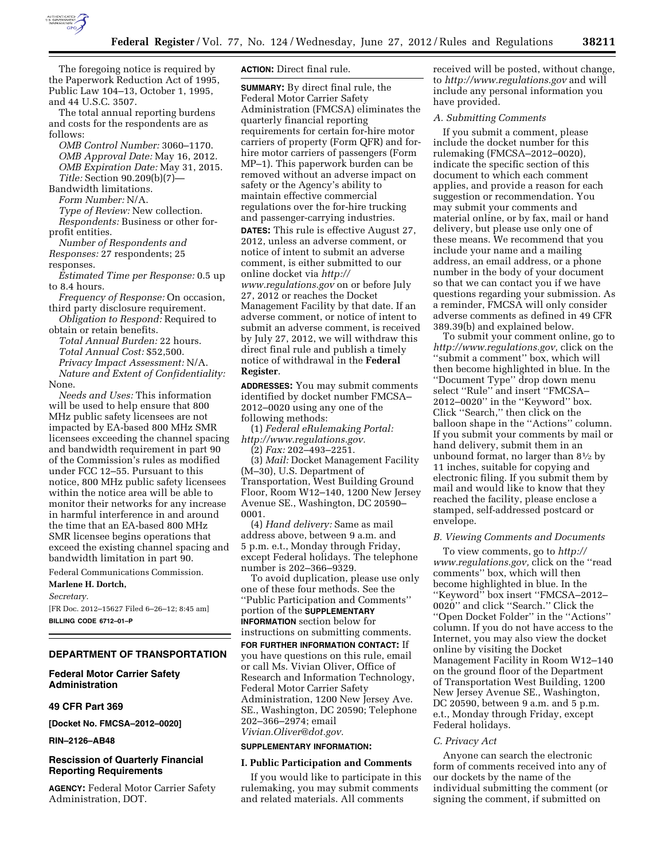

The foregoing notice is required by the Paperwork Reduction Act of 1995, Public Law 104–13, October 1, 1995, and 44 U.S.C. 3507.

The total annual reporting burdens and costs for the respondents are as follows:

*OMB Control Number:* 3060–1170. *OMB Approval Date:* May 16, 2012. *OMB Expiration Date:* May 31, 2015. *Title:* Section 90.209(b)(7)—

Bandwidth limitations.

*Form Number:* N/A. *Type of Review:* New collection. *Respondents:* Business or other forprofit entities.

*Number of Respondents and Responses:* 27 respondents; 25 responses.

*Estimated Time per Response:* 0.5 up to 8.4 hours.

*Frequency of Response:* On occasion, third party disclosure requirement.

*Obligation to Respond:* Required to obtain or retain benefits.

*Total Annual Burden:* 22 hours. *Total Annual Cost:* \$52,500. *Privacy Impact Assessment:* N/A. *Nature and Extent of Confidentiality:*  None.

*Needs and Uses:* This information will be used to help ensure that 800 MHz public safety licensees are not impacted by EA-based 800 MHz SMR licensees exceeding the channel spacing and bandwidth requirement in part 90 of the Commission's rules as modified under FCC 12–55. Pursuant to this notice, 800 MHz public safety licensees within the notice area will be able to monitor their networks for any increase in harmful interference in and around the time that an EA-based 800 MHz SMR licensee begins operations that exceed the existing channel spacing and bandwidth limitation in part 90.

# Federal Communications Commission.

**Marlene H. Dortch,**  *Secretary.* 

[FR Doc. 2012–15627 Filed 6–26–12; 8:45 am] **BILLING CODE 6712–01–P** 

## **DEPARTMENT OF TRANSPORTATION**

**Federal Motor Carrier Safety Administration** 

#### **49 CFR Part 369**

**[Docket No. FMCSA–2012–0020]** 

**RIN–2126–AB48** 

## **Rescission of Quarterly Financial Reporting Requirements**

**AGENCY:** Federal Motor Carrier Safety Administration, DOT.

## **ACTION:** Direct final rule.

**SUMMARY:** By direct final rule, the Federal Motor Carrier Safety Administration (FMCSA) eliminates the quarterly financial reporting requirements for certain for-hire motor carriers of property (Form QFR) and forhire motor carriers of passengers (Form MP–1). This paperwork burden can be removed without an adverse impact on safety or the Agency's ability to maintain effective commercial regulations over the for-hire trucking and passenger-carrying industries. **DATES:** This rule is effective August 27, 2012, unless an adverse comment, or notice of intent to submit an adverse comment, is either submitted to our online docket via *[http://](http://www.regulations.gov) [www.regulations.gov](http://www.regulations.gov)* on or before July 27, 2012 or reaches the Docket Management Facility by that date. If an adverse comment, or notice of intent to submit an adverse comment, is received by July 27, 2012, we will withdraw this direct final rule and publish a timely notice of withdrawal in the **Federal Register**.

**ADDRESSES:** You may submit comments identified by docket number FMCSA– 2012–0020 using any one of the following methods:

(1) *Federal eRulemaking Portal: [http://www.regulations.gov.](http://www.regulations.gov)* 

(2) *Fax:* 202–493–2251.

(3) *Mail:* Docket Management Facility (M–30), U.S. Department of Transportation, West Building Ground Floor, Room W12–140, 1200 New Jersey Avenue SE., Washington, DC 20590– 0001.

(4) *Hand delivery:* Same as mail address above, between 9 a.m. and 5 p.m. e.t., Monday through Friday, except Federal holidays. The telephone number is 202–366–9329.

To avoid duplication, please use only one of these four methods. See the ''Public Participation and Comments'' portion of the **SUPPLEMENTARY INFORMATION** section below for instructions on submitting comments. **FOR FURTHER INFORMATION CONTACT:** If you have questions on this rule, email or call Ms. Vivian Oliver, Office of Research and Information Technology, Federal Motor Carrier Safety Administration, 1200 New Jersey Ave. SE., Washington, DC 20590; Telephone 202–366–2974; email *[Vivian.Oliver@dot.gov.](mailto:Vivian.Oliver@dot.gov)* 

## **SUPPLEMENTARY INFORMATION:**

## **I. Public Participation and Comments**

If you would like to participate in this rulemaking, you may submit comments and related materials. All comments

received will be posted, without change, to *<http://www.regulations.gov>*and will include any personal information you have provided.

## *A. Submitting Comments*

If you submit a comment, please include the docket number for this rulemaking (FMCSA–2012–0020), indicate the specific section of this document to which each comment applies, and provide a reason for each suggestion or recommendation. You may submit your comments and material online, or by fax, mail or hand delivery, but please use only one of these means. We recommend that you include your name and a mailing address, an email address, or a phone number in the body of your document so that we can contact you if we have questions regarding your submission. As a reminder, FMCSA will only consider adverse comments as defined in 49 CFR 389.39(b) and explained below.

To submit your comment online, go to *[http://www.regulations.gov,](http://www.regulations.gov)* click on the ''submit a comment'' box, which will then become highlighted in blue. In the ''Document Type'' drop down menu select ''Rule'' and insert ''FMCSA– 2012–0020'' in the ''Keyword'' box. Click ''Search,'' then click on the balloon shape in the ''Actions'' column. If you submit your comments by mail or hand delivery, submit them in an unbound format, no larger than  $8\frac{1}{2}$  by 11 inches, suitable for copying and electronic filing. If you submit them by mail and would like to know that they reached the facility, please enclose a stamped, self-addressed postcard or envelope.

#### *B. Viewing Comments and Documents*

To view comments, go to *[http://](http://www.regulations.gov) [www.regulations.gov,](http://www.regulations.gov)* click on the ''read comments'' box, which will then become highlighted in blue. In the ''Keyword'' box insert ''FMCSA–2012– 0020'' and click ''Search.'' Click the ''Open Docket Folder'' in the ''Actions'' column. If you do not have access to the Internet, you may also view the docket online by visiting the Docket Management Facility in Room W12–140 on the ground floor of the Department of Transportation West Building, 1200 New Jersey Avenue SE., Washington, DC 20590, between 9 a.m. and 5 p.m. e.t., Monday through Friday, except Federal holidays.

#### *C. Privacy Act*

Anyone can search the electronic form of comments received into any of our dockets by the name of the individual submitting the comment (or signing the comment, if submitted on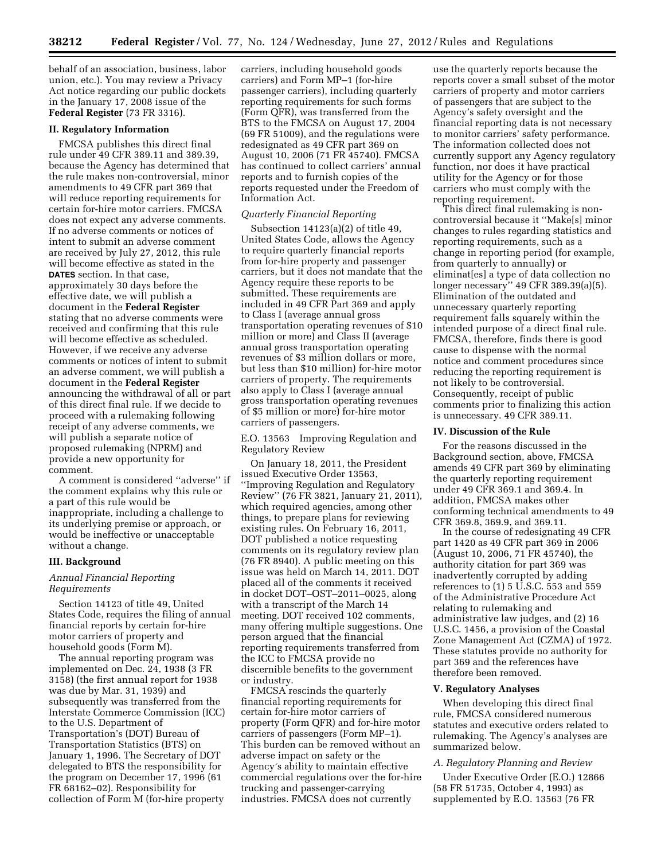behalf of an association, business, labor union, etc.). You may review a Privacy Act notice regarding our public dockets in the January 17, 2008 issue of the **Federal Register** (73 FR 3316).

#### **II. Regulatory Information**

FMCSA publishes this direct final rule under 49 CFR 389.11 and 389.39, because the Agency has determined that the rule makes non-controversial, minor amendments to 49 CFR part 369 that will reduce reporting requirements for certain for-hire motor carriers. FMCSA does not expect any adverse comments. If no adverse comments or notices of intent to submit an adverse comment are received by July 27, 2012, this rule will become effective as stated in the **DATES** section. In that case, approximately 30 days before the effective date, we will publish a document in the **Federal Register**  stating that no adverse comments were received and confirming that this rule will become effective as scheduled. However, if we receive any adverse comments or notices of intent to submit an adverse comment, we will publish a document in the **Federal Register**  announcing the withdrawal of all or part of this direct final rule. If we decide to proceed with a rulemaking following receipt of any adverse comments, we will publish a separate notice of proposed rulemaking (NPRM) and provide a new opportunity for comment.

A comment is considered ''adverse'' if the comment explains why this rule or a part of this rule would be inappropriate, including a challenge to its underlying premise or approach, or would be ineffective or unacceptable without a change.

#### **III. Background**

## *Annual Financial Reporting Requirements*

Section 14123 of title 49, United States Code, requires the filing of annual financial reports by certain for-hire motor carriers of property and household goods (Form M).

The annual reporting program was implemented on Dec. 24, 1938 (3 FR 3158) (the first annual report for 1938 was due by Mar. 31, 1939) and subsequently was transferred from the Interstate Commerce Commission (ICC) to the U.S. Department of Transportation's (DOT) Bureau of Transportation Statistics (BTS) on January 1, 1996. The Secretary of DOT delegated to BTS the responsibility for the program on December 17, 1996 (61 FR 68162–02). Responsibility for collection of Form M (for-hire property

carriers, including household goods carriers) and Form MP–1 (for-hire passenger carriers), including quarterly reporting requirements for such forms (Form QFR), was transferred from the BTS to the FMCSA on August 17, 2004 (69 FR 51009), and the regulations were redesignated as 49 CFR part 369 on August 10, 2006 (71 FR 45740). FMCSA has continued to collect carriers' annual reports and to furnish copies of the reports requested under the Freedom of Information Act.

## *Quarterly Financial Reporting*

Subsection 14123(a)(2) of title 49, United States Code, allows the Agency to require quarterly financial reports from for-hire property and passenger carriers, but it does not mandate that the Agency require these reports to be submitted. These requirements are included in 49 CFR Part 369 and apply to Class I (average annual gross transportation operating revenues of \$10 million or more) and Class II (average annual gross transportation operating revenues of \$3 million dollars or more, but less than \$10 million) for-hire motor carriers of property. The requirements also apply to Class I (average annual gross transportation operating revenues of \$5 million or more) for-hire motor carriers of passengers.

E.O. 13563 Improving Regulation and Regulatory Review

On January 18, 2011, the President issued Executive Order 13563, ''Improving Regulation and Regulatory Review'' (76 FR 3821, January 21, 2011), which required agencies, among other things, to prepare plans for reviewing existing rules. On February 16, 2011, DOT published a notice requesting comments on its regulatory review plan (76 FR 8940). A public meeting on this issue was held on March 14, 2011. DOT placed all of the comments it received in docket DOT–OST–2011–0025, along with a transcript of the March 14 meeting. DOT received 102 comments, many offering multiple suggestions. One person argued that the financial reporting requirements transferred from the ICC to FMCSA provide no discernible benefits to the government or industry.

FMCSA rescinds the quarterly financial reporting requirements for certain for-hire motor carriers of property (Form QFR) and for-hire motor carriers of passengers (Form MP–1). This burden can be removed without an adverse impact on safety or the Agency´s ability to maintain effective commercial regulations over the for-hire trucking and passenger-carrying industries. FMCSA does not currently

use the quarterly reports because the reports cover a small subset of the motor carriers of property and motor carriers of passengers that are subject to the Agency's safety oversight and the financial reporting data is not necessary to monitor carriers' safety performance. The information collected does not currently support any Agency regulatory function, nor does it have practical utility for the Agency or for those carriers who must comply with the reporting requirement.

This direct final rulemaking is noncontroversial because it ''Make[s] minor changes to rules regarding statistics and reporting requirements, such as a change in reporting period (for example, from quarterly to annually) or eliminat[es] a type of data collection no longer necessary'' 49 CFR 389.39(a)(5). Elimination of the outdated and unnecessary quarterly reporting requirement falls squarely within the intended purpose of a direct final rule. FMCSA, therefore, finds there is good cause to dispense with the normal notice and comment procedures since reducing the reporting requirement is not likely to be controversial. Consequently, receipt of public comments prior to finalizing this action is unnecessary. 49 CFR 389.11.

#### **IV. Discussion of the Rule**

For the reasons discussed in the Background section, above, FMCSA amends 49 CFR part 369 by eliminating the quarterly reporting requirement under 49 CFR 369.1 and 369.4. In addition, FMCSA makes other conforming technical amendments to 49 CFR 369.8, 369.9, and 369.11.

In the course of redesignating 49 CFR part 1420 as 49 CFR part 369 in 2006 (August 10, 2006, 71 FR 45740), the authority citation for part 369 was inadvertently corrupted by adding references to (1) 5 U.S.C. 553 and 559 of the Administrative Procedure Act relating to rulemaking and administrative law judges, and (2) 16 U.S.C. 1456, a provision of the Coastal Zone Management Act (CZMA) of 1972. These statutes provide no authority for part 369 and the references have therefore been removed.

#### **V. Regulatory Analyses**

When developing this direct final rule, FMCSA considered numerous statutes and executive orders related to rulemaking. The Agency's analyses are summarized below.

#### *A. Regulatory Planning and Review*

Under Executive Order (E.O.) 12866 (58 FR 51735, October 4, 1993) as supplemented by E.O. 13563 (76 FR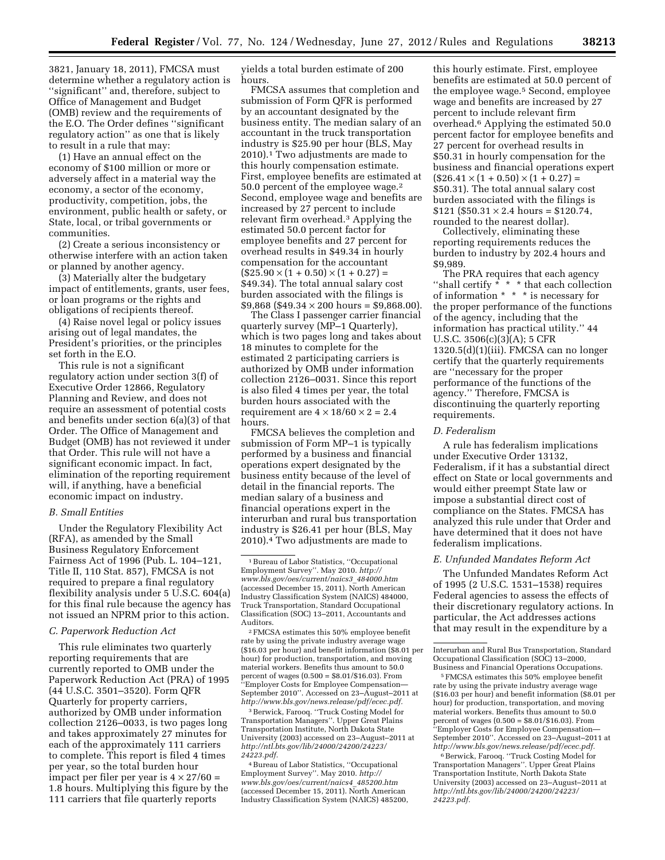3821, January 18, 2011), FMCSA must determine whether a regulatory action is ''significant'' and, therefore, subject to Office of Management and Budget (OMB) review and the requirements of the E.O. The Order defines ''significant regulatory action'' as one that is likely to result in a rule that may:

(1) Have an annual effect on the economy of \$100 million or more or adversely affect in a material way the economy, a sector of the economy, productivity, competition, jobs, the environment, public health or safety, or State, local, or tribal governments or communities.

(2) Create a serious inconsistency or otherwise interfere with an action taken or planned by another agency.

(3) Materially alter the budgetary impact of entitlements, grants, user fees, or loan programs or the rights and obligations of recipients thereof.

(4) Raise novel legal or policy issues arising out of legal mandates, the President's priorities, or the principles set forth in the E.O.

This rule is not a significant regulatory action under section 3(f) of Executive Order 12866, Regulatory Planning and Review, and does not require an assessment of potential costs and benefits under section 6(a)(3) of that Order. The Office of Management and Budget (OMB) has not reviewed it under that Order. This rule will not have a significant economic impact. In fact, elimination of the reporting requirement will, if anything, have a beneficial economic impact on industry.

#### *B. Small Entities*

Under the Regulatory Flexibility Act (RFA), as amended by the Small Business Regulatory Enforcement Fairness Act of 1996 (Pub. L. 104–121, Title II, 110 Stat. 857), FMCSA is not required to prepare a final regulatory flexibility analysis under 5 U.S.C. 604(a) for this final rule because the agency has not issued an NPRM prior to this action.

## *C. Paperwork Reduction Act*

This rule eliminates two quarterly reporting requirements that are currently reported to OMB under the Paperwork Reduction Act (PRA) of 1995 (44 U.S.C. 3501–3520). Form QFR Quarterly for property carriers, authorized by OMB under information collection 2126–0033, is two pages long and takes approximately 27 minutes for each of the approximately 111 carriers to complete. This report is filed 4 times per year, so the total burden hour impact per filer per year is  $4 \times 27/60 =$ 1.8 hours. Multiplying this figure by the 111 carriers that file quarterly reports

yields a total burden estimate of 200 hours.

FMCSA assumes that completion and submission of Form QFR is performed by an accountant designated by the business entity. The median salary of an accountant in the truck transportation industry is \$25.90 per hour (BLS, May 2010).1 Two adjustments are made to this hourly compensation estimate. First, employee benefits are estimated at 50.0 percent of the employee wage.2 Second, employee wage and benefits are increased by 27 percent to include relevant firm overhead.3 Applying the estimated 50.0 percent factor for employee benefits and 27 percent for overhead results in \$49.34 in hourly compensation for the accountant  $($25.90 \times (1 + 0.50) \times (1 + 0.27) =$ \$49.34). The total annual salary cost burden associated with the filings is  $$9,868$  (\$49.34  $\times$  200 hours = \$9,868.00).

The Class I passenger carrier financial quarterly survey (MP–1 Quarterly), which is two pages long and takes about 18 minutes to complete for the estimated 2 participating carriers is authorized by OMB under information collection 2126–0031. Since this report is also filed 4 times per year, the total burden hours associated with the requirement are  $4 \times 18/60 \times 2 = 2.4$ hours.

FMCSA believes the completion and submission of Form MP–1 is typically performed by a business and financial operations expert designated by the business entity because of the level of detail in the financial reports. The median salary of a business and financial operations expert in the interurban and rural bus transportation industry is \$26.41 per hour (BLS, May 2010).4 Two adjustments are made to

2FMCSA estimates this 50% employee benefit rate by using the private industry average wage (\$16.03 per hour) and benefit information (\$8.01 per hour) for production, transportation, and moving material workers. Benefits thus amount to 50.0 percent of wages (0.500 = \$8.01/\$16.03). From ''Employer Costs for Employee Compensation— September 2010''. Accessed on 23–August–2011 at *[http://www.bls.gov/news.release/pdf/ecec.pdf.](http://www.bls.gov/news.release/pdf/ecec.pdf)* 

3Berwick, Farooq. ''Truck Costing Model for Transportation Managers''. Upper Great Plains Transportation Institute, North Dakota State University (2003) accessed on 23–August–2011 at *[http://ntl.bts.gov/lib/24000/24200/24223/](http://ntl.bts.gov/lib/24000/24200/24223/24223.pdf)  [24223.pdf.](http://ntl.bts.gov/lib/24000/24200/24223/24223.pdf)* 

4Bureau of Labor Statistics, ''Occupational Employment Survey''. May 2010. *[http://](http://www.bls.gov/oes/current/naics4_485200.htm) [www.bls.gov/oes/current/naics4](http://www.bls.gov/oes/current/naics4_485200.htm)*\_*485200.htm*  (accessed December 15, 2011). North American Industry Classification System (NAICS) 485200,

this hourly estimate. First, employee benefits are estimated at 50.0 percent of the employee wage.5 Second, employee wage and benefits are increased by 27 percent to include relevant firm overhead.6 Applying the estimated 50.0 percent factor for employee benefits and 27 percent for overhead results in \$50.31 in hourly compensation for the business and financial operations expert  $($26.41 \times (1 + 0.50) \times (1 + 0.27) =$ \$50.31). The total annual salary cost burden associated with the filings is  $$121 ($50.31 \times 2.4 \text{ hours} = $120.74,$ rounded to the nearest dollar).

Collectively, eliminating these reporting requirements reduces the burden to industry by 202.4 hours and \$9,989.

The PRA requires that each agency ''shall certify \* \* \* that each collection of information \* \* \* is necessary for the proper performance of the functions of the agency, including that the information has practical utility.'' 44 U.S.C. 3506(c)(3)(A); 5 CFR  $1320.5(d)(1)(iii)$ . FMCSA can no longer certify that the quarterly requirements are ''necessary for the proper performance of the functions of the agency.'' Therefore, FMCSA is discontinuing the quarterly reporting requirements.

#### *D. Federalism*

A rule has federalism implications under Executive Order 13132, Federalism, if it has a substantial direct effect on State or local governments and would either preempt State law or impose a substantial direct cost of compliance on the States. FMCSA has analyzed this rule under that Order and have determined that it does not have federalism implications.

#### *E. Unfunded Mandates Reform Act*

The Unfunded Mandates Reform Act of 1995 (2 U.S.C. 1531–1538) requires Federal agencies to assess the effects of their discretionary regulatory actions. In particular, the Act addresses actions that may result in the expenditure by a

5FMCSA estimates this 50% employee benefit rate by using the private industry average wage (\$16.03 per hour) and benefit information (\$8.01 per hour) for production, transportation, and moving material workers. Benefits thus amount to 50.0 percent of wages (0.500 = \$8.01/\$16.03). From ''Employer Costs for Employee Compensation— September 2010''. Accessed on 23–August–2011 at *[http://www.bls.gov/news.release/pdf/ecec.pdf.](http://www.bls.gov/news.release/pdf/ecec.pdf)* 

6Berwick, Farooq. ''Truck Costing Model for Transportation Managers''. Upper Great Plains Transportation Institute, North Dakota State University (2003) accessed on 23–August–2011 at *[http://ntl.bts.gov/lib/24000/24200/24223/](http://ntl.bts.gov/lib/24000/24200/24223/24223.pdf)  [24223.pdf.](http://ntl.bts.gov/lib/24000/24200/24223/24223.pdf)* 

<sup>1</sup>Bureau of Labor Statistics, ''Occupational Employment Survey''. May 2010. *[http://](http://www.bls.gov/oes/current/naics3_484000.htm) [www.bls.gov/oes/current/naics3](http://www.bls.gov/oes/current/naics3_484000.htm)*\_*484000.htm*  (accessed December 15, 2011). North American Industry Classification System (NAICS) 484000, Truck Transportation, Standard Occupational Classification (SOC) 13–2011, Accountants and Auditors.

Interurban and Rural Bus Transportation, Standard Occupational Classification (SOC) 13–2000, Business and Financial Operations Occupations.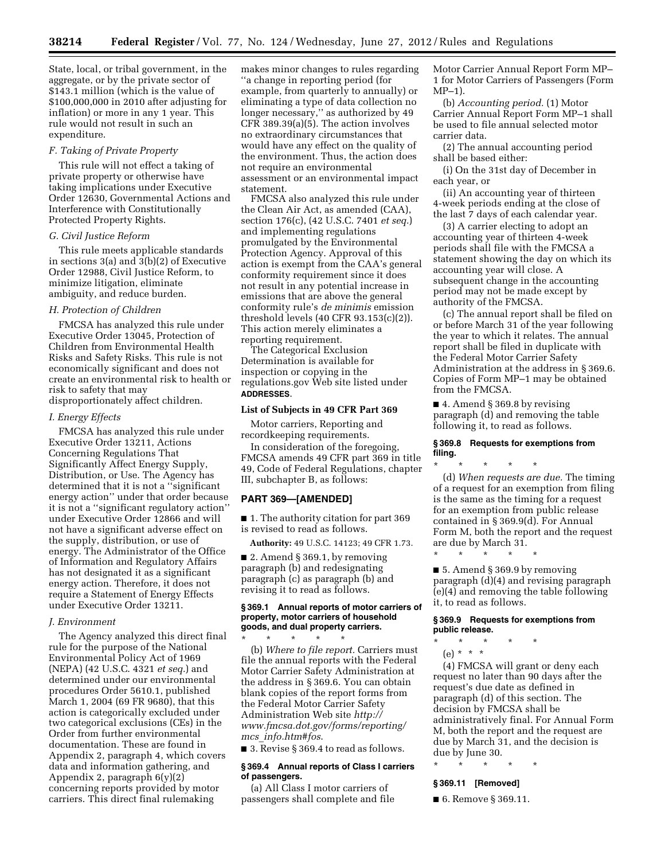State, local, or tribal government, in the aggregate, or by the private sector of \$143.1 million (which is the value of \$100,000,000 in 2010 after adjusting for inflation) or more in any 1 year. This rule would not result in such an expenditure.

#### *F. Taking of Private Property*

This rule will not effect a taking of private property or otherwise have taking implications under Executive Order 12630, Governmental Actions and Interference with Constitutionally Protected Property Rights.

#### *G. Civil Justice Reform*

This rule meets applicable standards in sections 3(a) and 3(b)(2) of Executive Order 12988, Civil Justice Reform, to minimize litigation, eliminate ambiguity, and reduce burden.

## *H. Protection of Children*

FMCSA has analyzed this rule under Executive Order 13045, Protection of Children from Environmental Health Risks and Safety Risks. This rule is not economically significant and does not create an environmental risk to health or risk to safety that may disproportionately affect children.

#### *I. Energy Effects*

FMCSA has analyzed this rule under Executive Order 13211, Actions Concerning Regulations That Significantly Affect Energy Supply, Distribution, or Use. The Agency has determined that it is not a ''significant energy action'' under that order because it is not a ''significant regulatory action'' under Executive Order 12866 and will not have a significant adverse effect on the supply, distribution, or use of energy. The Administrator of the Office of Information and Regulatory Affairs has not designated it as a significant energy action. Therefore, it does not require a Statement of Energy Effects under Executive Order 13211.

#### *J. Environment*

The Agency analyzed this direct final rule for the purpose of the National Environmental Policy Act of 1969 (NEPA) (42 U.S.C. 4321 *et seq.*) and determined under our environmental procedures Order 5610.1, published March 1, 2004 (69 FR 9680), that this action is categorically excluded under two categorical exclusions (CEs) in the Order from further environmental documentation. These are found in Appendix 2, paragraph 4, which covers data and information gathering, and Appendix 2, paragraph 6(y)(2) concerning reports provided by motor carriers. This direct final rulemaking

makes minor changes to rules regarding ''a change in reporting period (for example, from quarterly to annually) or eliminating a type of data collection no longer necessary,'' as authorized by 49 CFR 389.39(a)(5). The action involves no extraordinary circumstances that would have any effect on the quality of the environment. Thus, the action does not require an environmental assessment or an environmental impact statement.

FMCSA also analyzed this rule under the Clean Air Act, as amended (CAA), section 176(c), (42 U.S.C. 7401 *et seq.*) and implementing regulations promulgated by the Environmental Protection Agency. Approval of this action is exempt from the CAA's general conformity requirement since it does not result in any potential increase in emissions that are above the general conformity rule's *de minimis* emission threshold levels (40 CFR 93.153(c)(2)). This action merely eliminates a reporting requirement.

The Categorical Exclusion Determination is available for inspection or copying in the regulations.gov Web site listed under **ADDRESSES**.

#### **List of Subjects in 49 CFR Part 369**

Motor carriers, Reporting and recordkeeping requirements.

In consideration of the foregoing, FMCSA amends 49 CFR part 369 in title 49, Code of Federal Regulations, chapter III, subchapter B, as follows:

#### **PART 369—[AMENDED]**

■ 1. The authority citation for part 369 is revised to read as follows.

**Authority:** 49 U.S.C. 14123; 49 CFR 1.73.

 $\blacksquare$  2. Amend § 369.1, by removing paragraph (b) and redesignating paragraph (c) as paragraph (b) and revising it to read as follows.

#### **§ 369.1 Annual reports of motor carriers of property, motor carriers of household goods, and dual property carriers.**

\* \* \* \* \* (b) *Where to file report.* Carriers must file the annual reports with the Federal Motor Carrier Safety Administration at the address in § 369.6. You can obtain blank copies of the report forms from the Federal Motor Carrier Safety Administration Web site *[http://](http://www.fmcsa.dot.gov/forms/reporting/mcs_info.htm#fos) [www.fmcsa.dot.gov/forms/reporting/](http://www.fmcsa.dot.gov/forms/reporting/mcs_info.htm#fos) mcs*\_*[info.htm#fos](http://www.fmcsa.dot.gov/forms/reporting/mcs_info.htm#fos)*.

■ 3. Revise § 369.4 to read as follows.

## **§ 369.4 Annual reports of Class I carriers of passengers.**

(a) All Class I motor carriers of passengers shall complete and file Motor Carrier Annual Report Form MP– 1 for Motor Carriers of Passengers (Form MP–1).

(b) *Accounting period.* (1) Motor Carrier Annual Report Form MP–1 shall be used to file annual selected motor carrier data.

(2) The annual accounting period shall be based either:

(i) On the 31st day of December in each year, or

(ii) An accounting year of thirteen 4-week periods ending at the close of the last 7 days of each calendar year.

(3) A carrier electing to adopt an accounting year of thirteen 4-week periods shall file with the FMCSA a statement showing the day on which its accounting year will close. A subsequent change in the accounting period may not be made except by authority of the FMCSA.

(c) The annual report shall be filed on or before March 31 of the year following the year to which it relates. The annual report shall be filed in duplicate with the Federal Motor Carrier Safety Administration at the address in § 369.6. Copies of Form MP–1 may be obtained from the FMCSA.

■ 4. Amend § 369.8 by revising paragraph (d) and removing the table following it, to read as follows.

#### **§ 369.8 Requests for exemptions from filing.**

\* \* \* \* \* (d) *When requests are due.* The timing of a request for an exemption from filing is the same as the timing for a request for an exemption from public release contained in § 369.9(d). For Annual Form M, both the report and the request are due by March 31.

■ 5. Amend § 369.9 by removing paragraph (d)(4) and revising paragraph (e)(4) and removing the table following it, to read as follows.

#### **§ 369.9 Requests for exemptions from public release.**

 $\star$   $\star$ 

\* \* \* \* \*

 $(e) * * * *$ 

(4) FMCSA will grant or deny each request no later than 90 days after the request's due date as defined in paragraph (d) of this section. The decision by FMCSA shall be administratively final. For Annual Form M, both the report and the request are due by March 31, and the decision is due by June 30.

\* \* \* \* \*

## **§ 369.11 [Removed]**

■ 6. Remove § 369.11.